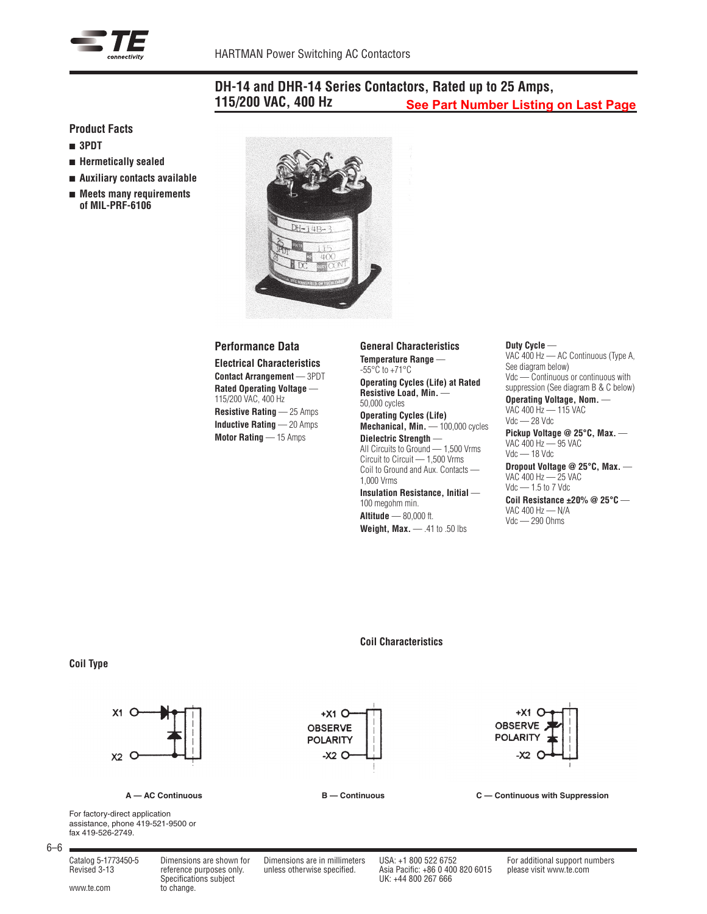

#### **DH-14 and DHR-14 Series Contactors, Rated up to 25 Amps, 115/200 VAC, 400 Hz See Part Number Listing on Last Page**

## **Product Facts**

- <sup>n</sup> **3PDT**
- <sup>n</sup> **Hermetically sealed**
- <sup>n</sup> **Auxiliary contacts available**
- Meets many requirements **of MIL-PRF-6106**



### **Performance Data**

**Electrical Characteristics Contact Arrangement** — 3PDT **Rated Operating Voltage** — 115/200 VAC, 400 Hz **Resistive Rating** — 25 Amps

**Inductive Rating** — 20 Amps **Motor Rating** — 15 Amps

**General Characteristics Temperature Range** — -55°C to +71°C **Operating Cycles (Life) at Rated**

**Resistive Load, Min.** — 50,000 cycles **Operating Cycles (Life)** Mechanical, Min. - 100,000 cycles **Dielectric Strength** — All Circuits to Ground — 1,500 Vrms Circuit to Circuit — 1,500 Vrms Coil to Ground and Aux. Contacts —

1,000 Vrms **Insulation Resistance, Initial** — 100 megohm min. **Altitude** — 80,000 ft. **Weight, Max.** — .41 to .50 lbs

#### **Duty Cycle** —

VAC 400 Hz — AC Continuous (Type A, See diagram below) Vdc — Continuous or continuous with suppression (See diagram B & C below)

**Operating Voltage, Nom.** — VAC 400 Hz — 115 VAC Vdc — 28 Vdc

**Pickup Voltage @ 25°C, Max.** — VAC 400 Hz — 95 VAC Vdc — 18 Vdc

**Dropout Voltage @ 25°C, Max.** — VAC 400 Hz — 25 VAC Vdc — 1.5 to 7 Vdc

**Coil Resistance ±20% @ 25°C** — VAC 400 Hz — N/A Vdc — 290 Ohms

## **Coil Characteristics**

### **Coil Type**



**A — AC Continuous B — Continuous C — Continuous with Suppression**

For factory-direct application assistance, phone 419-521-9500 or fax 419-526-2749.

6–6

Specifications subject<br>www.te.com to change.

Catalog 5-1773450-5 Dimensions are shown for Dimensions are in millimeters USA: +1 800 522 6752 For additional support numbers Specifications subject UK: +44 800 267 666

 $+X1$  O

**OBSERVE** 

**POLARITY**  $-xz$  O

Revised 3-13 reference purposes only. unless otherwise specified. Asia Pacific: +86 0 400 820 6015 please visit www.te.com

+X1 C **OBSERVE** 

**POLARITY** 

 $-0.2$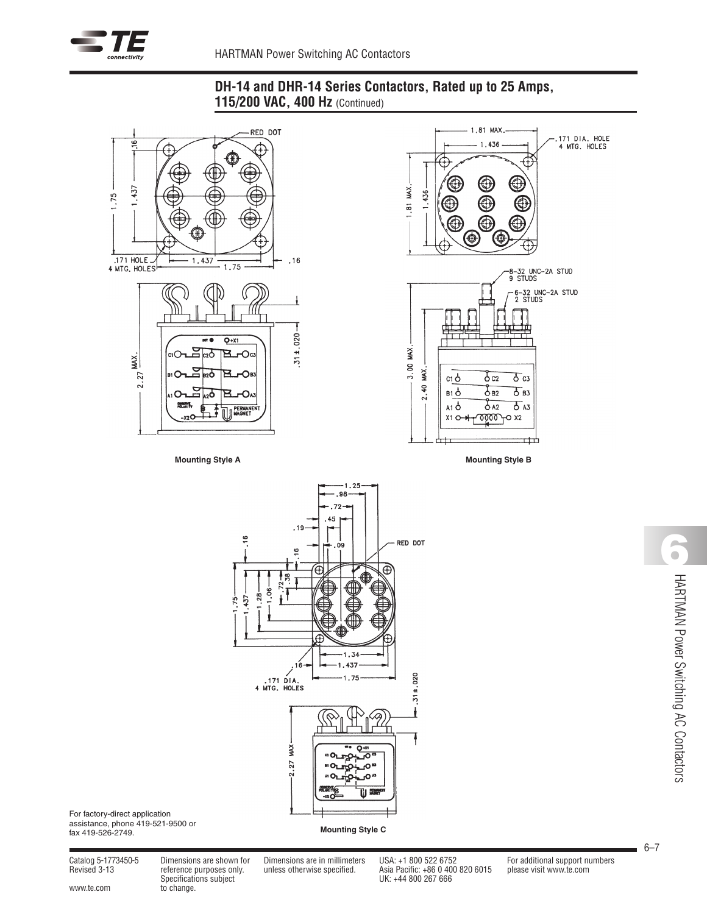

# **DH-14 and DHR-14 Series Contactors, Rated up to 25 Amps, 115/200 VAC, 400 Hz** (Continued)





**Mounting Style A Mounting Style B**



For factory-direct application assistance, phone 419-521-9500 or fax 419-526-2749.

**Mounting Style C**

Finance purposes only.<br>Specifications subject

Revised 3-13<br>
Revised 3-13 reference purposes only. unless otherwise specified. Asia Pacific: +86 0 400 820 6015 please visit www.te.com<br>
UK: +44 800 267 666

Catalog 5-1773450-5 Dimensions are shown for Dimensions are in millimeters USA: +1 800 522 6752 For additional support numbers

**6**HARTMAN Power Switching AC Contactors HARTMAN Power Switching AC Contactors

6–7

www.te.com to change.